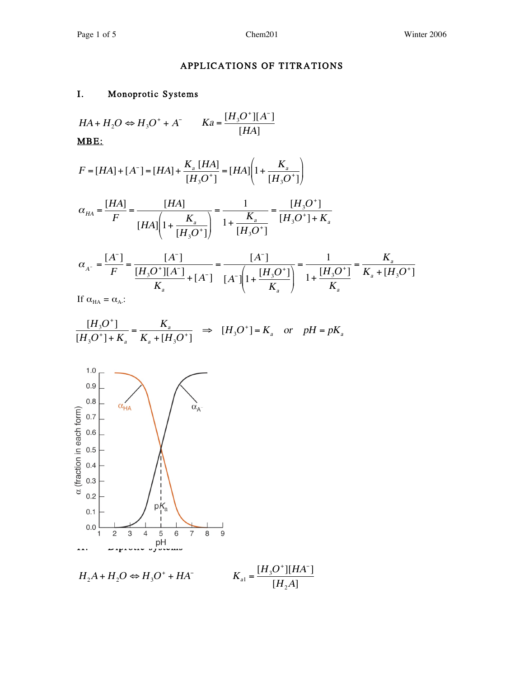# APPLICATIONS OF TITRATIONS

#### I. Monoprotic Systems

$$
HA + H_2O \Leftrightarrow H_3O^+ + A^- \qquad Ka = \frac{[H_3O^+][A^-]}{[HA]}
$$
  
**MBE:**

$$
F = [HA] + [A^-] = [HA] + \frac{K_a [HA]}{[H_3 O^+]} = [HA] \left(1 + \frac{K_a}{[H_3 O^+]} \right)
$$

$$
\alpha_{HA} = \frac{[HA]}{F} = \frac{[HA]}{[HA] \left(1 + \frac{K_a}{[H_3O^+]} \right)} = \frac{1}{1 + \frac{K_a}{[H_3O^+]} = \frac{[H_3O^+]}{[H_3O^+] + K_a}
$$

$$
\alpha_{A^{-}} = \frac{[A^{-}]}{F} = \frac{[A^{-}]}{[H_{3}O^{+}][A^{-}]} + [A^{-}] = \frac{[A^{-}]}{[A^{-}][H_{3}O^{+}]} = \frac{1}{1 + \frac{[H_{3}O^{+}]}{K_{a}}} = \frac{K_{a}}{K_{a} + [H_{3}O^{+}]}
$$
\nIf  $\alpha_{A} = \alpha_{A}$ :

If  $\alpha_{HA} = \alpha_{A}$ :

$$
\frac{[H_3O^+]}{[H_3O^+]+K_{\scriptscriptstyle a}} = \frac{K_{\scriptscriptstyle a}}{K_{\scriptscriptstyle a}+[H_3O^+]} \implies [H_3O^+] = K_{\scriptscriptstyle a} \quad \text{or} \quad pH = pK_{\scriptscriptstyle a}
$$

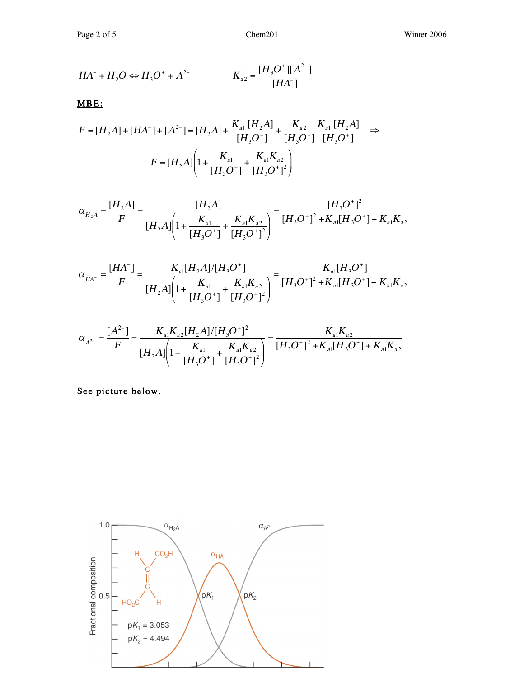$$
HA^{-} + H_{2}O \Leftrightarrow H_{3}O^{+} + A^{2-} \qquad K_{a2} = \frac{[H_{3}O^{+}][A^{2-}]}{[HA^{-}]}
$$

MBE:

$$
F = [H_2A] + [HA^-] + [A^{2-}] = [H_2A] + \frac{K_{a1}[H_2A]}{[H_3O^+]} + \frac{K_{a2}}{[H_3O^+]} \frac{K_{a1}[H_2A]}{[H_3O^+]} \implies
$$
  

$$
F = [H_2A] \left(1 + \frac{K_{a1}}{[H_3O^+]} + \frac{K_{a1}K_{a2}}{[H_3O^+]} \right)
$$

$$
\alpha_{H_2A} = \frac{[H_2A]}{F} = \frac{[H_2A]}{[H_2A]\left(1 + \frac{K_{a1}}{[H_3O^+]} + \frac{K_{a1}K_{a2}}{[H_3O^+]} \right)} = \frac{[H_3O^+]^2}{[H_3O^+]^2 + K_{a1}[H_3O^+] + K_{a1}K_{a2}}
$$

$$
\alpha_{_{HA^-}} = \frac{[HA^-]}{F} = \frac{K_{_{a1}}[H_2A]/[H_3O^+]}{[H_2A]\left(1 + \frac{K_{_{a1}}}{[H_3O^+]} + \frac{K_{_{a1}}K_{_{a2}}}{[H_3O^+]} \right)} = \frac{K_{_{a1}}[H_3O^+]}{[H_3O^+]^2 + K_{_{a1}}[H_3O^+] + K_{_{a1}}K_{_{a2}}}
$$

$$
\alpha_{A^{2-}} = \frac{[A^{2-}]}{F} = \frac{K_{a1}K_{a2}[H_2A]/[H_3O^+]^2}{[H_2A]\left(1 + \frac{K_{a1}}{[H_3O^+]} + \frac{K_{a1}K_{a2}}{[H_3O^+]^2}\right)} = \frac{K_{a1}K_{a2}}{[H_3O^+]^2 + K_{a1}[H_3O^+] + K_{a1}K_{a2}}
$$

See picture below.

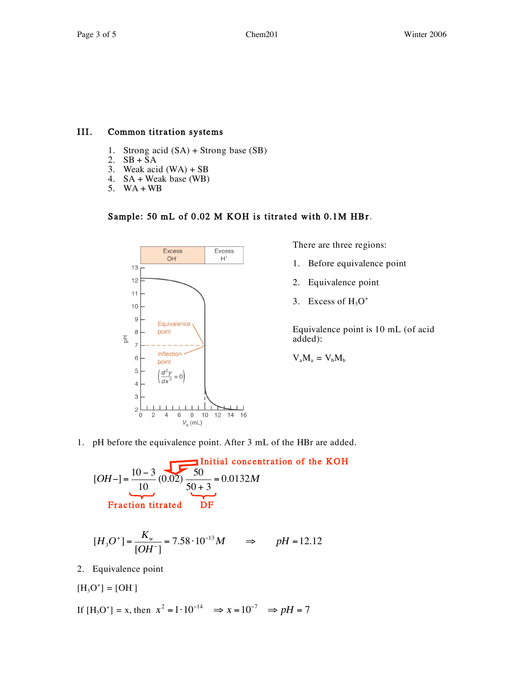### III. Common titration systems

- 1. Strong acid  $(SA)$  + Strong base  $(SB)$ <br>2.  $SB$  + SA
- $SB + SA$
- 3. Weak acid  $(WA) + SB$
- 4. SA + Weak base (WB)
- 5. WA + WB

# Sample: 50 mL of 0.02 M KOH is titrated with 0.1M HBr.



There are three regions:

- 1. Before equivalence point
- 2. Equivalence point
- 3. Excess of  $H_3O^+$

Equivalence point is 10 mL (of acid added):

$$
\mathbf{V}_a \mathbf{M}_a = \mathbf{V}_b \mathbf{M}_b
$$

1. pH before the equivalence point. After 3 mL of the HBr are added.

$$
[OH-]=\frac{10-3}{10}(0.02)\frac{50}{50+3}=0.0132M
$$
  
Fraction titrated DF

$$
[H_3O^+] = \frac{K_w}{[OH^-]} = 7.58 \cdot 10^{-13} M \qquad \Rightarrow \qquad pH = 12.12
$$

2. Equivalence point

$$
[\mathrm{H_3O}^+]=[\mathrm{OH}^-]
$$

If 
$$
[H_3O^+] = x
$$
, then  $x^2 = 1 \cdot 10^{-14} \implies x = 10^{-7} \implies pH = 7$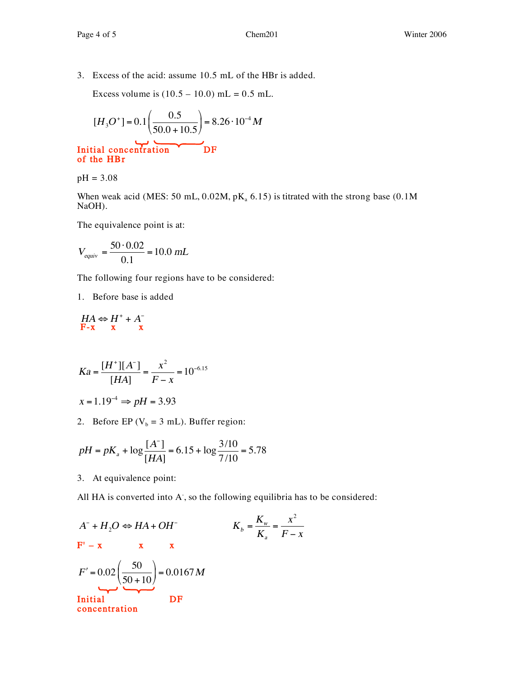3. Excess of the acid: assume 10.5 mL of the HBr is added.

Excess volume is  $(10.5 - 10.0)$  mL = 0.5 mL.

$$
[H_3O^+] = 0.1 \left(\frac{0.5}{50.0 + 10.5}\right) = 8.26 \cdot 10^{-4} M
$$

Initial concentration DF of the HBr

pH = 3.08

When weak acid (MES: 50 mL,  $0.02M$ ,  $pK_a$  6.15) is titrated with the strong base (0.1M NaOH).

The equivalence point is at:

$$
V_{equiv} = \frac{50 \cdot 0.02}{0.1} = 10.0 \; mL
$$

The following four regions have to be considered:

1. Before base is added

$$
\begin{array}{c}\nHA \Leftrightarrow H^+ + A^- \\
F-x \quad x \quad x\n\end{array}
$$

$$
Ka = \frac{[H^+][A^-]}{[HA]} = \frac{x^2}{F - x} = 10^{-6.15}
$$

$$
x = 1.19^{-4} \Rightarrow pH = 3.93
$$

2. Before EP ( $V_b = 3$  mL). Buffer region:

$$
pH = pK_a + \log \frac{[A^-]}{[HA]} = 6.15 + \log \frac{3/10}{7/10} = 5.78
$$

3. At equivalence point:

All HA is converted into A, so the following equilibria has to be considered:

$$
A^{-} + H_{2}O \Leftrightarrow HA + OH^{-}
$$
  
\n
$$
F' - x \t x \t x
$$
  
\n
$$
F' = 0.02 \left(\frac{50}{50 + 10}\right) = 0.0167 M
$$
  
\nInitial  
\nconcentration  
\nDF